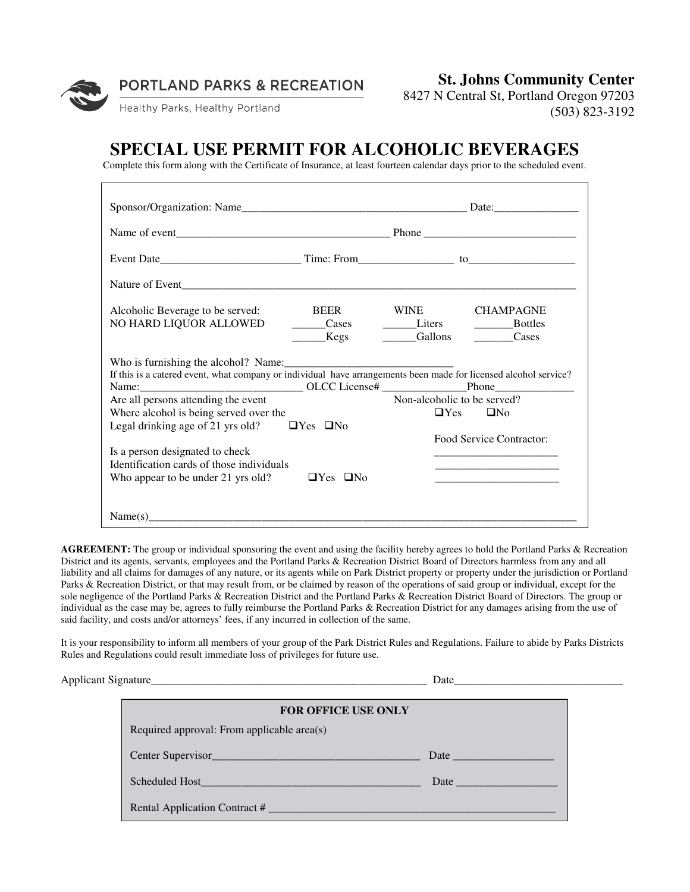

**PORTLAND PARKS & RECREATION** 

**St. Johns Community Center** 

Healthy Parks, Healthy Portland

8427 N Central St, Portland Oregon 97203 (503) 823-3192

## **SPECIAL USE PERMIT FOR ALCOHOLIC BEVERAGES**

Complete this form along with the Certificate of Insurance, at least fourteen calendar days prior to the scheduled event.

| Alcoholic Beverage to be served:                                                                                 | BEER WINE            |                             | <b>CHAMPAGNE</b>                                                         |  |
|------------------------------------------------------------------------------------------------------------------|----------------------|-----------------------------|--------------------------------------------------------------------------|--|
| NO HARD LIQUOR ALLOWED                                                                                           | Cases Liters         |                             | _______________Bottles                                                   |  |
|                                                                                                                  | <b>Kegs</b>          | Gallons                     | Cases                                                                    |  |
| If this is a catered event, what company or individual have arrangements been made for licensed alcohol service? |                      |                             |                                                                          |  |
| Are all persons attending the event                                                                              |                      | Non-alcoholic to be served? |                                                                          |  |
| Where alcohol is being served over the                                                                           |                      |                             | $\Box$ Yes $\Box$ No                                                     |  |
| Legal drinking age of 21 yrs old?                                                                                | $\Box$ Yes $\Box$ No |                             |                                                                          |  |
|                                                                                                                  |                      |                             | <b>Food Service Contractor:</b>                                          |  |
| Is a person designated to check                                                                                  |                      |                             |                                                                          |  |
| Identification cards of those individuals                                                                        |                      |                             |                                                                          |  |
| Who appear to be under 21 yrs old?                                                                               | $\Box$ Yes $\Box$ No |                             | <u> 1980 - Johann John Stein, mars an deus Amerikaansk kommunister (</u> |  |
|                                                                                                                  |                      |                             |                                                                          |  |
| Name(s)                                                                                                          |                      |                             |                                                                          |  |

**AGREEMENT:** The group or individual sponsoring the event and using the facility hereby agrees to hold the Portland Parks & Recreation District and its agents, servants, employees and the Portland Parks & Recreation District Board of Directors harmless from any and all liability and all claims for damages of any nature, or its agents while on Park District property or property under the jurisdiction or Portland Parks & Recreation District, or that may result from, or be claimed by reason of the operations of said group or individual, except for the sole negligence of the Portland Parks & Recreation District and the Portland Parks & Recreation District Board of Directors. The group or individual as the case may be, agrees to fully reimburse the Portland Parks & Recreation District for any damages arising from the use of said facility, and costs and/or attorneys' fees, if any incurred in collection of the same.

It is your responsibility to inform all members of your group of the Park District Rules and Regulations. Failure to abide by Parks Districts Rules and Regulations could result immediate loss of privileges for future use.

Applicant Signature\_\_\_\_\_\_\_\_\_\_\_\_\_\_\_\_\_\_\_\_\_\_\_\_\_\_\_\_\_\_\_\_\_\_\_\_\_\_\_\_\_\_\_\_\_\_\_\_\_ Date\_\_\_\_\_\_\_\_\_\_\_\_\_\_\_\_\_\_\_\_\_\_\_\_\_\_\_\_\_\_

| FOR OFFICE USE ONLY                        |                                                                                                                                                                                                                               |  |  |
|--------------------------------------------|-------------------------------------------------------------------------------------------------------------------------------------------------------------------------------------------------------------------------------|--|--|
| Required approval: From applicable area(s) |                                                                                                                                                                                                                               |  |  |
|                                            | Date and the same state of the state of the state of the state of the state of the state of the state of the state of the state of the state of the state of the state of the state of the state of the state of the state of |  |  |
| Scheduled Host <b>Scheduled</b>            |                                                                                                                                                                                                                               |  |  |
| Rental Application Contract #              |                                                                                                                                                                                                                               |  |  |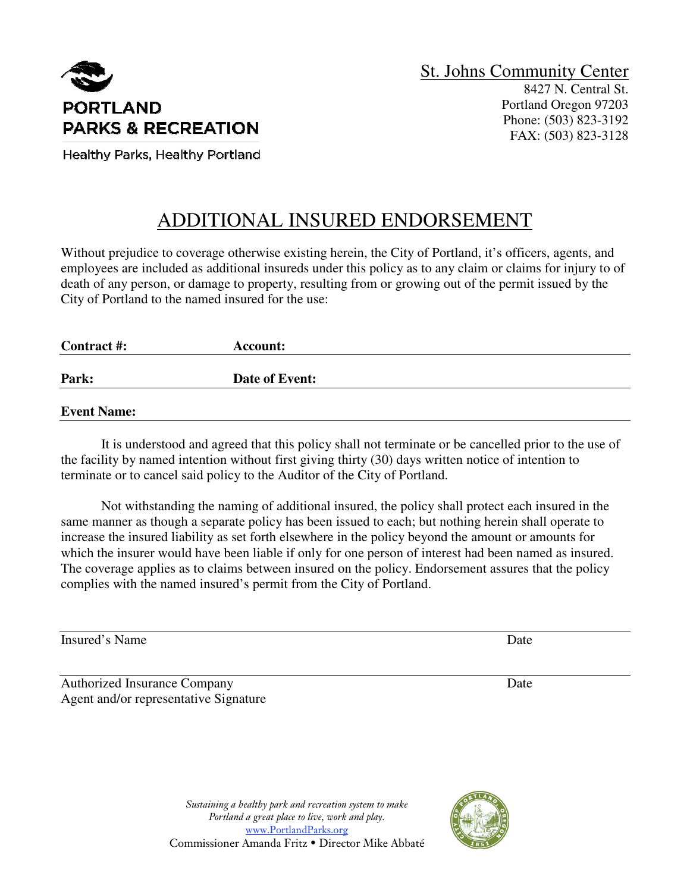

Portland Oregon 97203 Phone: (503) 823-3192 FAX: (503) 823-3128

Healthy Parks, Healthy Portland

# ADDITIONAL INSURED ENDORSEMENT

Without prejudice to coverage otherwise existing herein, the City of Portland, it's officers, agents, and employees are included as additional insureds under this policy as to any claim or claims for injury to of death of any person, or damage to property, resulting from or growing out of the permit issued by the City of Portland to the named insured for the use:

| Contract #:        | Account:       |  |
|--------------------|----------------|--|
| Park:              | Date of Event: |  |
| <b>Event Name:</b> |                |  |

 It is understood and agreed that this policy shall not terminate or be cancelled prior to the use of the facility by named intention without first giving thirty (30) days written notice of intention to terminate or to cancel said policy to the Auditor of the City of Portland.

 Not withstanding the naming of additional insured, the policy shall protect each insured in the same manner as though a separate policy has been issued to each; but nothing herein shall operate to increase the insured liability as set forth elsewhere in the policy beyond the amount or amounts for which the insurer would have been liable if only for one person of interest had been named as insured. The coverage applies as to claims between insured on the policy. Endorsement assures that the policy complies with the named insured's permit from the City of Portland.

Insured's Name Date Date of the United States of the Date Date Date Date Date Date

Authorized Insurance Company Date Agent and/or representative Signature

*Sustaining a healthy park and recreation system to make Portland a great place to live, work and play.*  www.PortlandParks.org Commissioner Amanda Fritz • Director Mike Abbaté